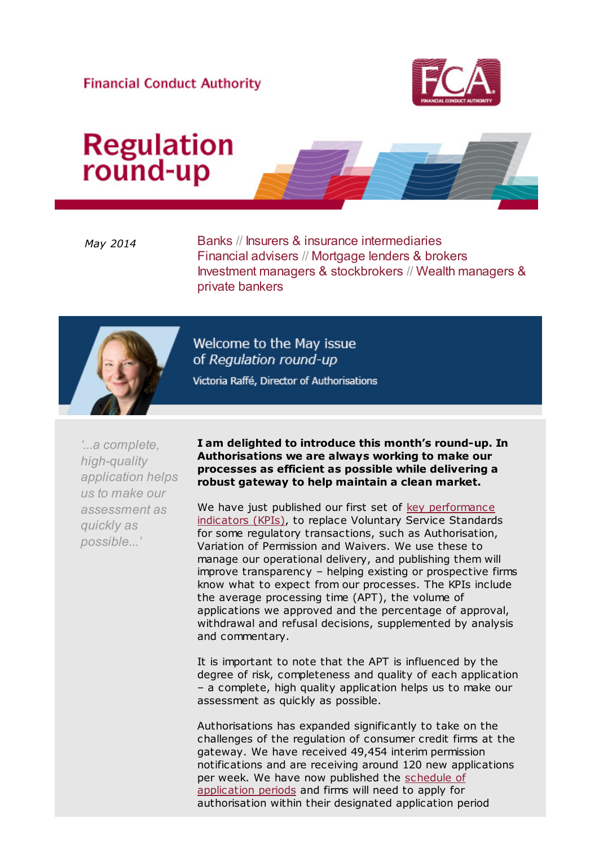### **Financial Conduct Authority**



# **Regulation**<br>round-up

May 2014 Banks // Insurers & insurance intermediaries Financial advisers // Mortgage lenders & brokers Investment managers & stockbrokers // Wealth managers & private bankers



Welcome to the May issue of Regulation round-up Victoria Raffé, Director of Authorisations

'...a complete, high-quality application helps us to make our assessment as quickly as possible...'

I am delighted to introduce this month's round-up. In Authorisations we are always working to make our processes as efficient as possible while delivering a robust gateway to help maintain a clean market.

[We have just published our first set of key performance](http://cl.s6.exct.net/?qs=e3bc8b908ce0595fbe3abbcf16bff932c6c8d22212bea1d120cc4b6c9d5b075f) indicators (KPIs), to replace Voluntary Service Standards for some regulatory transactions, such as Authorisation, Variation of Permission and Waivers. We use these to manage our operational delivery, and publishing them will improve transparency – helping existing or prospective firms know what to expect from our processes. The KPIs include the average processing time (APT), the volume of applications we approved and the percentage of approval, withdrawal and refusal decisions, supplemented by analysis and commentary.

It is important to note that the APT is influenced by the degree of risk, completeness and quality of each application – a complete, high quality application helps us to make our assessment as quickly as possible.

Authorisations has expanded significantly to take on the challenges of the regulation of consumer credit firms at the gateway. We have received 49,454 interim permission notifications and are receiving around 120 new applications [per week. We have now published the schedule of](http://cl.s6.exct.net/?qs=e3bc8b908ce0595fb36190d5a4c50e119255442591f2623ec720a4daef3962e7) application periods and firms will need to apply for authorisation within their designated application period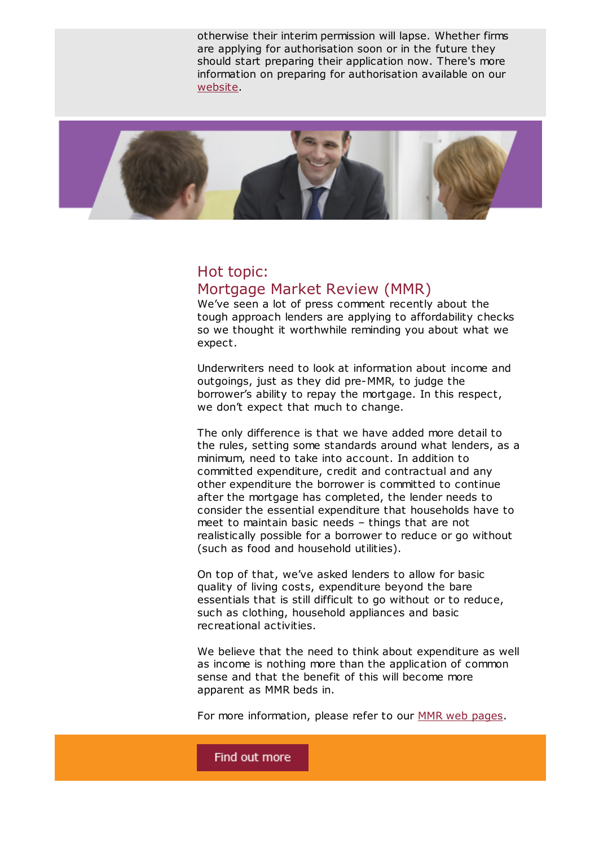otherwise their interim permission will lapse. Whether firms are applying for authorisation soon or in the future they should start preparing their application now. There's more information on preparing for authorisation available on our [website](http://cl.s6.exct.net/?qs=e3bc8b908ce0595f2e7e20d4da62013e33412f0f24428a6676ac56551305047a).



### Hot topic: Mortgage Market Review (MMR)

We've seen a lot of press comment recently about the tough approach lenders are applying to affordability checks so we thought it worthwhile reminding you about what we expect.

Underwriters need to look at information about income and outgoings, just as they did pre-MMR, to judge the borrower's ability to repay the mortgage. In this respect, we don't expect that much to change.

The only difference is that we have added more detail to the rules, setting some standards around what lenders, as a minimum, need to take into account. In addition to committed expenditure, credit and contractual and any other expenditure the borrower is committed to continue after the mortgage has completed, the lender needs to consider the essential expenditure that households have to meet to maintain basic needs – things that are not realistically possible for a borrower to reduce or go without (such as food and household utilities).

On top of that, we've asked lenders to allow for basic quality of living costs, expenditure beyond the bare essentials that is still difficult to go without or to reduce, such as clothing, household appliances and basic recreational activities.

We believe that the need to think about expenditure as well as income is nothing more than the application of common sense and that the benefit of this will become more apparent as MMR beds in.

For more information, please refer to our [MMR web pages](http://cl.s6.exct.net/?qs=e3bc8b908ce0595f2fd374bfeeafd0e3f16994d609f0fe79a087a7752f3f698a).

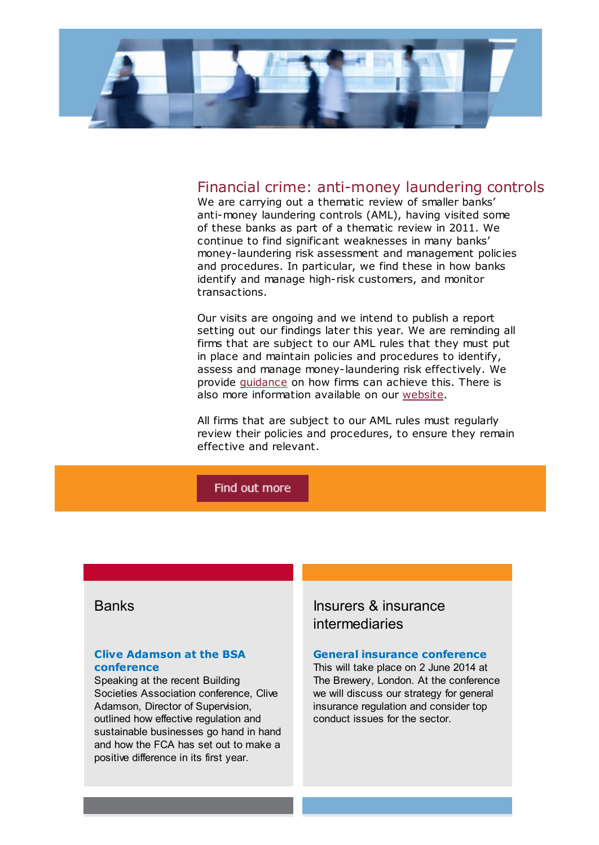

#### Financial crime: anti-money laundering controls

We are carrying out a thematic review of smaller banks' anti-money laundering controls (AML), having visited some of these banks as part of a thematic review in 2011. We continue to find significant weaknesses in many banks' money-laundering risk assessment and management policies and procedures. In particular, we find these in how banks identify and manage high-risk customers, and monitor transactions.

Our visits are ongoing and we intend to publish a report setting out our findings later this year. We are reminding all firms that are subject to our AML rules that they must put in place and maintain policies and procedures to identify, assess and manage money-laundering risk effectively. We provide [guidance](http://cl.s6.exct.net/?qs=4e1ffdc9bce80a6643c9e516d54ac4e9f758cb38c0404781cbcca1bb67610c1b) on how firms can achieve this. There is also more information available on our [website](http://cl.s6.exct.net/?qs=4e1ffdc9bce80a6660c1f9e4425dd481d7ecdc14238449f7b79483273978768e).

All firms that are subject to our AML rules must regularly review their policies and procedures, to ensure they remain effective and relevant.

#### Find out more

#### Clive Adamson at the BSA [conference](http://cl.s6.exct.net/?qs=4e1ffdc9bce80a66b10bc76da2cfaea748bd73b825c4721b1eede9e01ae0221d)

Speaking at the recent Building Societies Association conference, Clive Adamson, Director of Supervision. outlined how effective regulation and sustainable businesses go hand in hand and how the FCA has set out to make a positive difference in its first year.

### Banks **Insurers & insurance** intermediaries

#### General insurance [conference](http://cl.s6.exct.net/?qs=4e1ffdc9bce80a66919bd5eb79ad1b94199d4d00491b59289ae7162e2f683f0b)

This will take place on 2 June 2014 at The Brewery, London. At the conference we will discuss our strategy for general insurance regulation and consider top conduct issues for the sector.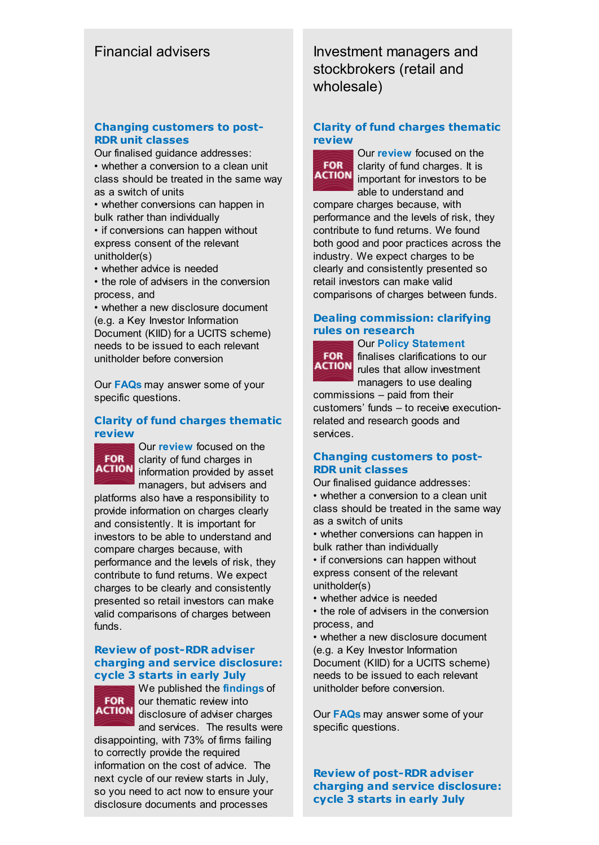#### Changing [customers](http://cl.s6.exct.net/?qs=4e1ffdc9bce80a66ca8b640224d330e058f790d2f9090747a693139d7f334a6f) to post-RDR unit classes

Our finalised guidance addresses: • whether a conversion to a clean unit class should be treated in the same way as a switch of units

• whether conversions can happen in bulk rather than individually • if conversions can happen without express consent of the relevant

- unitholder(s)
- whether advice is needed
- the role of advisers in the conversion process, and

• whether a new disclosure document (e.g. a Key Investor Information Document (KIID) for a UCITS scheme) needs to be issued to each relevant unitholder before conversion

Our [FAQs](http://cl.s6.exct.net/?qs=4e1ffdc9bce80a66f9fd4c3ca4988801f4682f216cb5a2b13247e90e311a22fb) may answer some of your specific questions.

#### Clarity of fund charges [thematic](http://cl.s6.exct.net/?qs=4e1ffdc9bce80a66d9385ab0a5a2cc379e02a5da077b182ff2099cfbb039e884) review



Our [review](http://cl.s6.exct.net/?qs=4e1ffdc9bce80a667aee55ae5b61bc2414122456157a50a36dad3d376e634a0a) focused on the clarity of fund charges in **ACTION** information provided by asset managers, but advisers and

platforms also have a responsibility to provide information on charges clearly and consistently. It is important for investors to be able to understand and compare charges because, with performance and the levels of risk, they contribute to fund returns. We expect charges to be clearly and consistently presented so retail investors can make valid comparisons of charges between funds.

#### Review of post-RDR adviser charging and service [disclosure:](http://cl.s6.exct.net/?qs=c84cb7b6162d46a2305d5e51671aba4247bfa255f1b4ccabf722d17d0c2ac8d5) cycle 3 starts in early July



We published the **[findings](http://cl.s6.exct.net/?qs=c84cb7b6162d46a20ce343fd050bee45cd048d433d193d9514d5bd0fade928b6)** of our thematic review into **ACTION** disclosure of adviser charges and services. The results were

disappointing, with 73% of firms failing to correctly provide the required information on the cost of advice. The next cycle of our review starts in July, so you need to act now to ensure your disclosure documents and processes

Financial advisers **Investment managers and** stockbrokers (retail and wholesale)

#### Clarity of fund charges [thematic](http://cl.s6.exct.net/?qs=c84cb7b6162d46a2fe66c9d43b6b2d3303ec62d489eace3a3b4509cd5b7a44d2) review



Our [review](http://cl.s6.exct.net/?qs=c84cb7b6162d46a2b9d5b636a7f5a4a00ab46149c6abb192b7bf73a43312a791) focused on the clarity of fund charges. It is **ACTION** important for investors to be able to understand and

compare charges because, with performance and the levels of risk, they contribute to fund returns. We found both good and poor practices across the industry. We expect charges to be clearly and consistently presented so retail investors can make valid comparisons of charges between funds.

#### Dealing [commission:](http://cl.s6.exct.net/?qs=c84cb7b6162d46a22e878e432f7652ca357eb2e7ad5a9931157721ae44c9d4f2) clarifying rules on research

## **FOR**

Our Policy [Statement](http://cl.s6.exct.net/?qs=c84cb7b6162d46a20bba14e88aa75e5cbd35377c0f9d6c01862e0897d1b75141) finalises clarifications to our **ACTION** rules that allow investment managers to use dealing

commissions – paid from their customers' funds – to receive executionrelated and research goods and services.

#### Changing [customers](http://cl.s6.exct.net/?qs=c84cb7b6162d46a208d3ef98a34b6174d4d6389d487e8e6ffb139ca65d476e3e) to post-RDR unit classes

Our finalised guidance addresses:

• whether a conversion to a clean unit class should be treated in the same way as a switch of units

- whether conversions can happen in bulk rather than individually
- if conversions can happen without express consent of the relevant unitholder(s)
- whether advice is needed

• the role of advisers in the conversion process, and

• whether a new disclosure document (e.g. a Key Investor Information Document (KIID) for a UCITS scheme) needs to be issued to each relevant unitholder before conversion.

Our [FAQs](http://cl.s6.exct.net/?qs=c84cb7b6162d46a251cd89820192408906fe6be5a99eeb3e57ac173ccfb1361f) may answer some of your specific questions.

Review of post-RDR adviser charging and service [disclosure:](http://cl.s6.exct.net/?qs=c84cb7b6162d46a246d02beaf1aaa520cb7d7c62425e1e51cc6a97dde7165417) cycle 3 starts in early July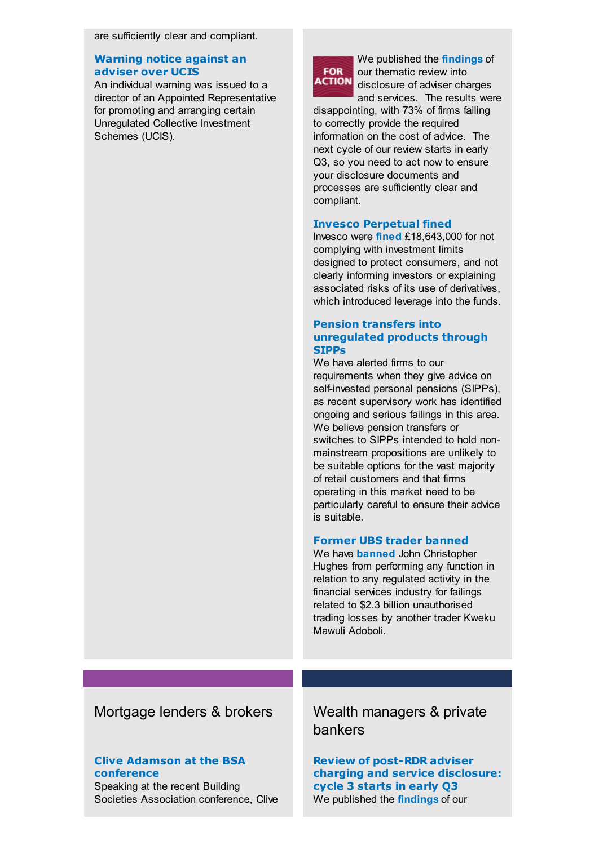are sufficiently clear and compliant.

#### [Warning](http://cl.s6.exct.net/?qs=c84cb7b6162d46a29ab7439c484a0503078041c51910a719e040faf22eafe566) notice against an adviser over UCIS

An individual warning was issued to a director of an Appointed Representative for promoting and arranging certain Unregulated Collective Investment Schemes (UCIS).



We published the **[findings](http://cl.s6.exct.net/?qs=ecdb1c9f445741ac4d7ae93cffb15eee4443f1eebcdfa22c3b5829c621bb9de6)** of our thematic review into disclosure of adviser charges

and services. The results were disappointing, with 73% of firms failing to correctly provide the required information on the cost of advice. The next cycle of our review starts in early Q3, so you need to act now to ensure your disclosure documents and processes are sufficiently clear and compliant.

#### Invesco [Perpetual](http://cl.s6.exct.net/?qs=ecdb1c9f445741acf8b69b498f08f7819d5aa265880fbbfa230956edf5908382) fined

Invesco were [fined](http://cl.s6.exct.net/?qs=ecdb1c9f445741aca42aeb731ab573b8a32f5aae99a983f6d9b0b31ad4a86006) £18,643,000 for not complying with investment limits designed to protect consumers, and not clearly informing investors or explaining associated risks of its use of derivatives, which introduced leverage into the funds.

#### Pension transfers into [unregulated](http://cl.s6.exct.net/?qs=ecdb1c9f445741ac598b6bc5b2dc9a8f950b0de28f60fee2093e2ea4fec8d3fa) products through **SIPPs**

We have alerted firms to our requirements when they give advice on self-invested personal pensions (SIPPs), as recent supervisory work has identified ongoing and serious failings in this area. We believe pension transfers or switches to SIPPs intended to hold nonmainstream propositions are unlikely to be suitable options for the vast majority of retail customers and that firms operating in this market need to be particularly careful to ensure their advice is suitable.

#### Former UBS trader [banned](http://cl.s6.exct.net/?qs=ecdb1c9f445741ac43883d1c72c89590d6d33b2f243a7093306795c74e173571)

We have **[banned](http://cl.s6.exct.net/?qs=ecdb1c9f445741acc7c0521036fa85ee5a906b669c8ed08082f99f764284da22)** John Christopher Hughes from performing any function in relation to any regulated activity in the financial services industry for failings related to \$2.3 billion unauthorised trading losses by another trader Kweku Mawuli Adoboli.

## Mortgage lenders & brokers Wealth managers & private

#### Clive Adamson at the BSA [conference](http://cl.s6.exct.net/?qs=ecdb1c9f445741ac1b4b52f4b8525b43d0f867220d94582a7326f81c4ab68ff4)

Speaking at the recent Building Societies Association conference, Clive

## bankers

Review of post-RDR adviser charging and service [disclosure:](http://cl.s6.exct.net/?qs=ecdb1c9f445741ac57496fefe15c0ed77a01ee94864e834246660ee61ffeb449) cycle 3 starts in early Q3 We published the **[findings](http://cl.s6.exct.net/?qs=ecdb1c9f445741ac577536b97223e0bac9ce35757b07405e2a7eaeaab48f32f2)** of our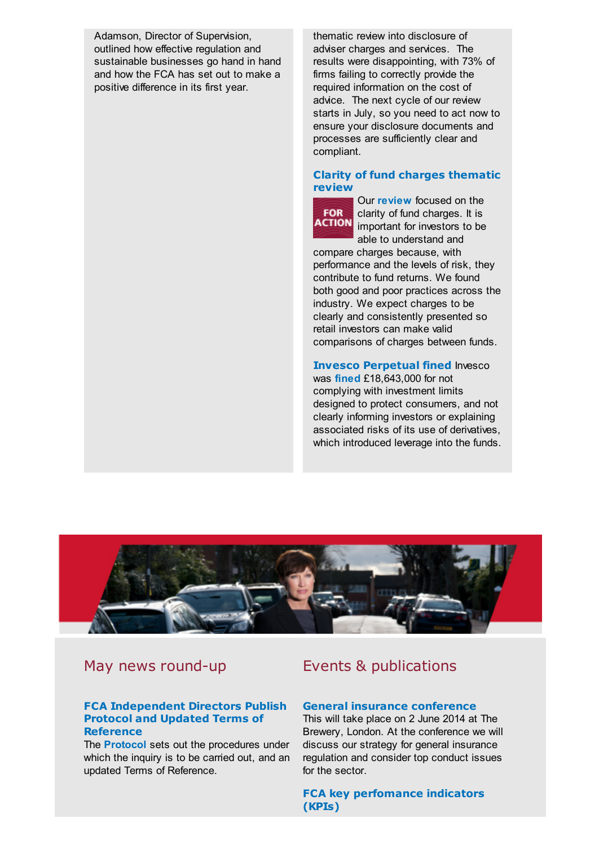Adamson, Director of Supervision, outlined how effective regulation and sustainable businesses go hand in hand and how the FCA has set out to make a positive difference in its first year.

thematic review into disclosure of adviser charges and services. The results were disappointing, with 73% of firms failing to correctly provide the required information on the cost of advice. The next cycle of our review starts in July, so you need to act now to ensure your disclosure documents and processes are sufficiently clear and compliant.

#### Clarity of fund charges [thematic](http://cl.s6.exct.net/?qs=c84cb7b6162d46a2fe66c9d43b6b2d3303ec62d489eace3a3b4509cd5b7a44d2) review

**FOR** 

Our [review](http://cl.s6.exct.net/?qs=ecdb1c9f445741ac14890d8eff0f3a96079af9789cd659363ed450b9423b6d2d) focused on the clarity of fund charges. It is **ACTION** important for investors to be able to understand and

compare charges because, with performance and the levels of risk, they contribute to fund returns. We found both good and poor practices across the industry. We expect charges to be clearly and consistently presented so retail investors can make valid comparisons of charges between funds.

Invesco [Perpetual](http://cl.s6.exct.net/?qs=a16dcf6e25cbaa0e4837a63b5ede6f85cb07e7d591c3ad2a58948a897f9acf7d) fined Invesco was [fined](http://cl.s6.exct.net/?qs=a16dcf6e25cbaa0e66f48a700d4435a82900456d6fa63b7657b9ca2e689ae395) £18,643,000 for not complying with investment limits designed to protect consumers, and not clearly informing investors or explaining associated risks of its use of derivatives, which introduced leverage into the funds.



#### FCA [Independent](http://cl.s6.exct.net/?qs=a16dcf6e25cbaa0e7ed7a3b9e1361b48de17e7e8702754e8f200654d2c0617fc) Directors Publish Protocol and Updated Terms of Reference

The [Protocol](http://cl.s6.exct.net/?qs=a16dcf6e25cbaa0ea9fa7a97da0eb5a8424143db22d4c6fa5e43b79a4f3ee607) sets out the procedures under which the inquiry is to be carried out, and an updated Terms of Reference.

## May news round-up **Events & publications**

#### General insurance [conference](http://cl.s6.exct.net/?qs=a16dcf6e25cbaa0e5170eeb768442ffa19057e77b803bffc51f06937fd7e9c55)

This will take place on 2 June 2014 at The Brewery, London. At the conference we will discuss our strategy for general insurance regulation and consider top conduct issues for the sector.

FCA key [perfomance](http://cl.s6.exct.net/?qs=a16dcf6e25cbaa0e14f648c33d0056f868704c05b3c39c557ccec48894c49dda) indicators (KPIs)